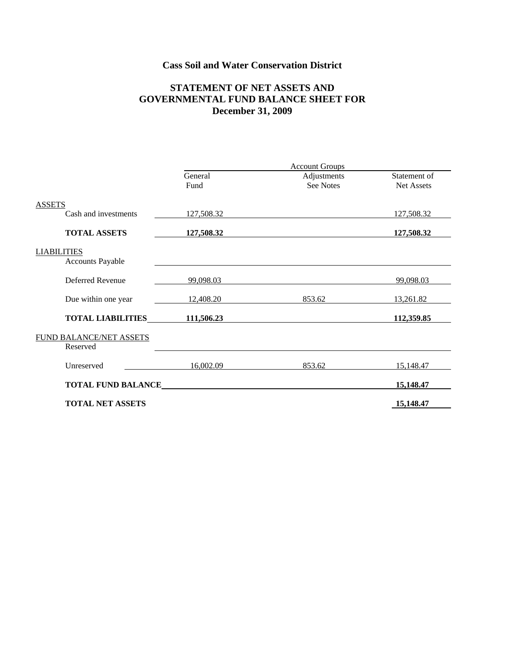# **Cass Soil and Water Conservation District**

### **STATEMENT OF NET ASSETS AND GOVERNMENTAL FUND BALANCE SHEET FOR December 31, 2009**

|                                               | <b>Account Groups</b> |                                 |                            |  |
|-----------------------------------------------|-----------------------|---------------------------------|----------------------------|--|
|                                               | General<br>Fund       | Adjustments<br><b>See Notes</b> | Statement of<br>Net Assets |  |
| <b>ASSETS</b>                                 |                       |                                 |                            |  |
| Cash and investments                          | 127,508.32            |                                 | 127,508.32                 |  |
| <b>TOTAL ASSETS</b>                           | 127,508.32            |                                 | 127,508.32                 |  |
| <b>LIABILITIES</b><br><b>Accounts Payable</b> |                       |                                 |                            |  |
| Deferred Revenue                              | 99,098.03             |                                 | 99,098.03                  |  |
| Due within one year                           | 12,408.20             | 853.62                          | 13,261.82                  |  |
| <b>TOTAL LIABILITIES</b>                      | 111,506.23            |                                 | 112,359.85                 |  |
| FUND BALANCE/NET ASSETS<br>Reserved           |                       |                                 |                            |  |
| Unreserved                                    | 16,002.09             | 853.62                          | 15,148.47                  |  |
| <b>TOTAL FUND BALANCE</b>                     |                       |                                 | 15,148.47                  |  |
| <b>TOTAL NET ASSETS</b>                       |                       |                                 | 15,148.47                  |  |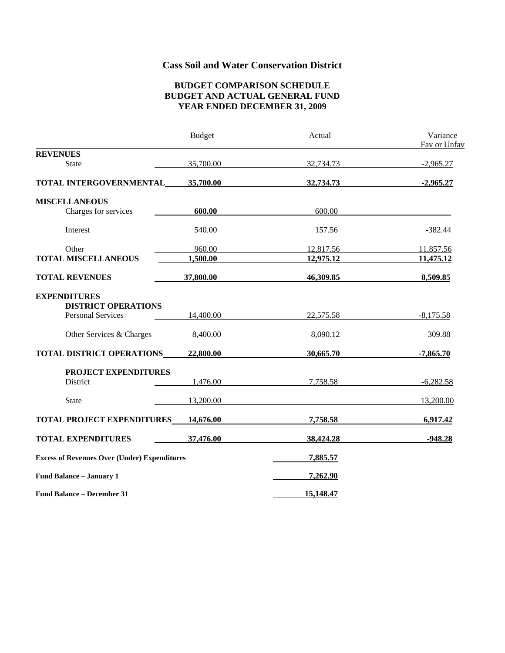# **Cass Soil and Water Conservation District**

#### **BUDGET COMPARISON SCHEDULE BUDGET AND ACTUAL GENERAL FUND YEAR ENDED DECEMBER 31, 2009**

|                                                                               | <b>Budget</b> | Actual    | Variance<br>Fav or Unfav |
|-------------------------------------------------------------------------------|---------------|-----------|--------------------------|
| <b>REVENUES</b>                                                               |               |           |                          |
| <b>State</b>                                                                  | 35,700.00     | 32,734.73 | $-2,965.27$              |
| TOTAL INTERGOVERNMENTAL 35,700.00                                             |               | 32,734.73 | $-2,965.27$              |
| <b>MISCELLANEOUS</b>                                                          |               |           |                          |
| Charges for services                                                          | 600.00        | 600.00    |                          |
| Interest                                                                      | 540.00        | 157.56    | $-382.44$                |
| Other                                                                         | 960.00        | 12,817.56 | 11,857.56                |
| <b>TOTAL MISCELLANEOUS</b>                                                    | 1,500.00      | 12,975.12 | 11,475.12                |
| <b>TOTAL REVENUES</b>                                                         | 37,800.00     | 46,309.85 | 8,509.85                 |
| <b>EXPENDITURES</b><br><b>DISTRICT OPERATIONS</b><br><b>Personal Services</b> | 14,400.00     | 22,575.58 | $-8,175.58$              |
|                                                                               |               | 8,090.12  | 309.88                   |
| <b>TOTAL DISTRICT OPERATIONS 22,800.00</b>                                    |               | 30,665.70 | $-7,865.70$              |
| PROJECT EXPENDITURES                                                          |               |           |                          |
| District                                                                      | 1,476.00      | 7,758.58  | $-6,282.58$              |
| <b>State</b>                                                                  | 13,200.00     |           | 13,200.00                |
| <b>TOTAL PROJECT EXPENDITURES</b> 14,676.00                                   |               | 7,758.58  | 6,917.42                 |
| <b>TOTAL EXPENDITURES</b>                                                     | 37,476.00     | 38,424.28 | $-948.28$                |
| <b>Excess of Revenues Over (Under) Expenditures</b>                           |               | 7,885.57  |                          |
| Fund Balance - January 1                                                      |               | 7,262.90  |                          |
| <b>Fund Balance - December 31</b>                                             |               | 15,148.47 |                          |